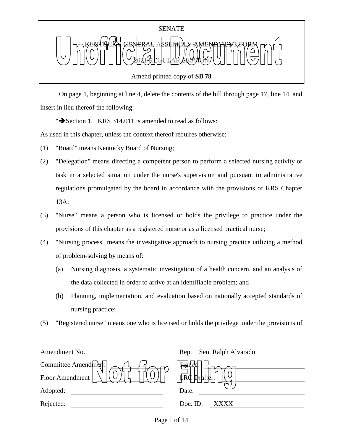

 On page 1, beginning at line 4, delete the contents of the bill through page 17, line 14, and insert in lieu thereof the following:

" $\rightarrow$  Section 1. KRS 314.011 is amended to read as follows:

As used in this chapter, unless the context thereof requires otherwise:

- (1) "Board" means Kentucky Board of Nursing;
- (2) "Delegation" means directing a competent person to perform a selected nursing activity or task in a selected situation under the nurse's supervision and pursuant to administrative regulations promulgated by the board in accordance with the provisions of KRS Chapter 13A;
- (3) "Nurse" means a person who is licensed or holds the privilege to practice under the provisions of this chapter as a registered nurse or as a licensed practical nurse;
- (4) "Nursing process" means the investigative approach to nursing practice utilizing a method of problem-solving by means of:
	- (a) Nursing diagnosis, a systematic investigation of a health concern, and an analysis of the data collected in order to arrive at an identifiable problem; and
	- (b) Planning, implementation, and evaluation based on nationally accepted standards of nursing practice;
- (5) "Registered nurse" means one who is licensed or holds the privilege under the provisions of

| Amendment No.       | Sen. Ralph Alvarado<br>Rep. |
|---------------------|-----------------------------|
| Committee Amendment | . pigne                     |
| Floor Amendment     | <b>LRC</b>                  |
| Adopted:            | Date:                       |
| Rejected:           | Doc. ID:<br>XXXX            |
|                     |                             |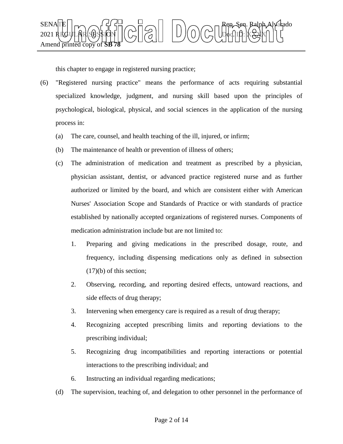

this chapter to engage in registered nursing practice;

- (6) "Registered nursing practice" means the performance of acts requiring substantial specialized knowledge, judgment, and nursing skill based upon the principles of psychological, biological, physical, and social sciences in the application of the nursing process in:
	- (a) The care, counsel, and health teaching of the ill, injured, or infirm;
	- (b) The maintenance of health or prevention of illness of others;
	- (c) The administration of medication and treatment as prescribed by a physician, physician assistant, dentist, or advanced practice registered nurse and as further authorized or limited by the board, and which are consistent either with American Nurses' Association Scope and Standards of Practice or with standards of practice established by nationally accepted organizations of registered nurses. Components of medication administration include but are not limited to:
		- 1. Preparing and giving medications in the prescribed dosage, route, and frequency, including dispensing medications only as defined in subsection (17)(b) of this section;
		- 2. Observing, recording, and reporting desired effects, untoward reactions, and side effects of drug therapy;
		- 3. Intervening when emergency care is required as a result of drug therapy;
		- 4. Recognizing accepted prescribing limits and reporting deviations to the prescribing individual;
		- 5. Recognizing drug incompatibilities and reporting interactions or potential interactions to the prescribing individual; and
		- 6. Instructing an individual regarding medications;
	- (d) The supervision, teaching of, and delegation to other personnel in the performance of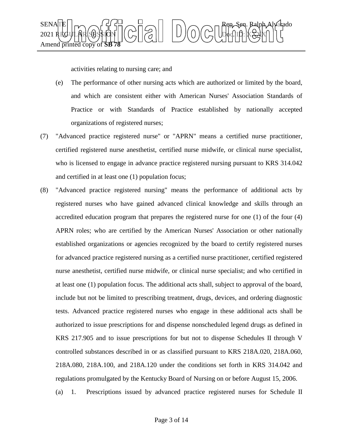

activities relating to nursing care; and

- (e) The performance of other nursing acts which are authorized or limited by the board, and which are consistent either with American Nurses' Association Standards of Practice or with Standards of Practice established by nationally accepted organizations of registered nurses;
- (7) "Advanced practice registered nurse" or "APRN" means a certified nurse practitioner, certified registered nurse anesthetist, certified nurse midwife, or clinical nurse specialist, who is licensed to engage in advance practice registered nursing pursuant to KRS 314.042 and certified in at least one (1) population focus;
- (8) "Advanced practice registered nursing" means the performance of additional acts by registered nurses who have gained advanced clinical knowledge and skills through an accredited education program that prepares the registered nurse for one (1) of the four (4) APRN roles; who are certified by the American Nurses' Association or other nationally established organizations or agencies recognized by the board to certify registered nurses for advanced practice registered nursing as a certified nurse practitioner, certified registered nurse anesthetist, certified nurse midwife, or clinical nurse specialist; and who certified in at least one (1) population focus. The additional acts shall, subject to approval of the board, include but not be limited to prescribing treatment, drugs, devices, and ordering diagnostic tests. Advanced practice registered nurses who engage in these additional acts shall be authorized to issue prescriptions for and dispense nonscheduled legend drugs as defined in KRS 217.905 and to issue prescriptions for but not to dispense Schedules II through V controlled substances described in or as classified pursuant to KRS 218A.020, 218A.060, 218A.080, 218A.100, and 218A.120 under the conditions set forth in KRS 314.042 and regulations promulgated by the Kentucky Board of Nursing on or before August 15, 2006.
	- (a) 1. Prescriptions issued by advanced practice registered nurses for Schedule II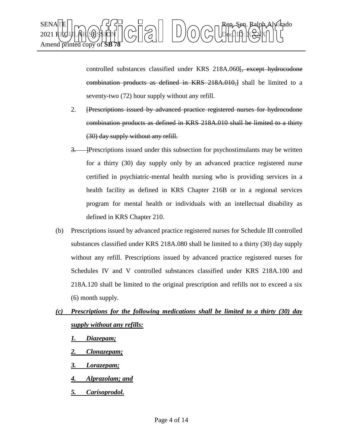

controlled substances classified under KRS 218A.060<del>[, except hydrocodone</del> combination products as defined in KRS 218A.010,] shall be limited to a seventy-two (72) hour supply without any refill.

- 2. [Prescriptions issued by advanced practice registered nurses for hydrocodone combination products as defined in KRS 218A.010 shall be limited to a thirty (30) day supply without any refill.
- 3. Prescriptions issued under this subsection for psychostimulants may be written for a thirty (30) day supply only by an advanced practice registered nurse certified in psychiatric-mental health nursing who is providing services in a health facility as defined in KRS Chapter 216B or in a regional services program for mental health or individuals with an intellectual disability as defined in KRS Chapter 210.
- (b) Prescriptions issued by advanced practice registered nurses for Schedule III controlled substances classified under KRS 218A.080 shall be limited to a thirty (30) day supply without any refill. Prescriptions issued by advanced practice registered nurses for Schedules IV and V controlled substances classified under KRS 218A.100 and 218A.120 shall be limited to the original prescription and refills not to exceed a six (6) month supply.
- *(c) Prescriptions for the following medications shall be limited to a thirty (30) day supply without any refills:*
	- *1. Diazepam;*
	- *2. Clonazepam;*
	- *3. Lorazepam;*
	- *4. Alprazolam; and*
	- *5. Carisoprodol.*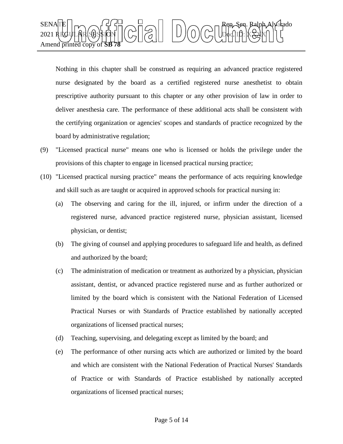

Nothing in this chapter shall be construed as requiring an advanced practice registered nurse designated by the board as a certified registered nurse anesthetist to obtain prescriptive authority pursuant to this chapter or any other provision of law in order to deliver anesthesia care. The performance of these additional acts shall be consistent with the certifying organization or agencies' scopes and standards of practice recognized by the board by administrative regulation;

- (9) "Licensed practical nurse" means one who is licensed or holds the privilege under the provisions of this chapter to engage in licensed practical nursing practice;
- (10) "Licensed practical nursing practice" means the performance of acts requiring knowledge and skill such as are taught or acquired in approved schools for practical nursing in:
	- (a) The observing and caring for the ill, injured, or infirm under the direction of a registered nurse, advanced practice registered nurse, physician assistant, licensed physician, or dentist;
	- (b) The giving of counsel and applying procedures to safeguard life and health, as defined and authorized by the board;
	- (c) The administration of medication or treatment as authorized by a physician, physician assistant, dentist, or advanced practice registered nurse and as further authorized or limited by the board which is consistent with the National Federation of Licensed Practical Nurses or with Standards of Practice established by nationally accepted organizations of licensed practical nurses;
	- (d) Teaching, supervising, and delegating except as limited by the board; and
	- (e) The performance of other nursing acts which are authorized or limited by the board and which are consistent with the National Federation of Practical Nurses' Standards of Practice or with Standards of Practice established by nationally accepted organizations of licensed practical nurses;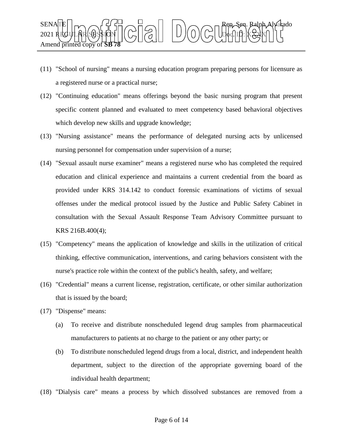

- (11) "School of nursing" means a nursing education program preparing persons for licensure as a registered nurse or a practical nurse;
- (12) "Continuing education" means offerings beyond the basic nursing program that present specific content planned and evaluated to meet competency based behavioral objectives which develop new skills and upgrade knowledge;
- (13) "Nursing assistance" means the performance of delegated nursing acts by unlicensed nursing personnel for compensation under supervision of a nurse;
- (14) "Sexual assault nurse examiner" means a registered nurse who has completed the required education and clinical experience and maintains a current credential from the board as provided under KRS 314.142 to conduct forensic examinations of victims of sexual offenses under the medical protocol issued by the Justice and Public Safety Cabinet in consultation with the Sexual Assault Response Team Advisory Committee pursuant to KRS 216B.400(4);
- (15) "Competency" means the application of knowledge and skills in the utilization of critical thinking, effective communication, interventions, and caring behaviors consistent with the nurse's practice role within the context of the public's health, safety, and welfare;
- (16) "Credential" means a current license, registration, certificate, or other similar authorization that is issued by the board;
- (17) "Dispense" means:
	- (a) To receive and distribute nonscheduled legend drug samples from pharmaceutical manufacturers to patients at no charge to the patient or any other party; or
	- (b) To distribute nonscheduled legend drugs from a local, district, and independent health department, subject to the direction of the appropriate governing board of the individual health department;
- (18) "Dialysis care" means a process by which dissolved substances are removed from a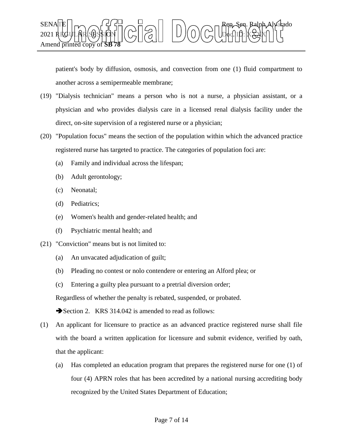

patient's body by diffusion, osmosis, and convection from one (1) fluid compartment to another across a semipermeable membrane;

- (19) "Dialysis technician" means a person who is not a nurse, a physician assistant, or a physician and who provides dialysis care in a licensed renal dialysis facility under the direct, on-site supervision of a registered nurse or a physician;
- (20) "Population focus" means the section of the population within which the advanced practice registered nurse has targeted to practice. The categories of population foci are:
	- (a) Family and individual across the lifespan;
	- (b) Adult gerontology;
	- (c) Neonatal;
	- (d) Pediatrics;
	- (e) Women's health and gender-related health; and
	- (f) Psychiatric mental health; and
- (21) "Conviction" means but is not limited to:
	- (a) An unvacated adjudication of guilt;
	- (b) Pleading no contest or nolo contendere or entering an Alford plea; or
	- (c) Entering a guilty plea pursuant to a pretrial diversion order;

Regardless of whether the penalty is rebated, suspended, or probated.

Section 2. KRS 314.042 is amended to read as follows:

- (1) An applicant for licensure to practice as an advanced practice registered nurse shall file with the board a written application for licensure and submit evidence, verified by oath, that the applicant:
	- (a) Has completed an education program that prepares the registered nurse for one (1) of four (4) APRN roles that has been accredited by a national nursing accrediting body recognized by the United States Department of Education;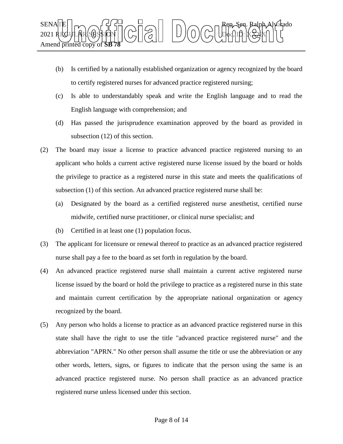

- (b) Is certified by a nationally established organization or agency recognized by the board to certify registered nurses for advanced practice registered nursing;
- (c) Is able to understandably speak and write the English language and to read the English language with comprehension; and
- (d) Has passed the jurisprudence examination approved by the board as provided in subsection (12) of this section.
- (2) The board may issue a license to practice advanced practice registered nursing to an applicant who holds a current active registered nurse license issued by the board or holds the privilege to practice as a registered nurse in this state and meets the qualifications of subsection (1) of this section. An advanced practice registered nurse shall be:
	- (a) Designated by the board as a certified registered nurse anesthetist, certified nurse midwife, certified nurse practitioner, or clinical nurse specialist; and
	- (b) Certified in at least one (1) population focus.
- (3) The applicant for licensure or renewal thereof to practice as an advanced practice registered nurse shall pay a fee to the board as set forth in regulation by the board.
- (4) An advanced practice registered nurse shall maintain a current active registered nurse license issued by the board or hold the privilege to practice as a registered nurse in this state and maintain current certification by the appropriate national organization or agency recognized by the board.
- (5) Any person who holds a license to practice as an advanced practice registered nurse in this state shall have the right to use the title "advanced practice registered nurse" and the abbreviation "APRN." No other person shall assume the title or use the abbreviation or any other words, letters, signs, or figures to indicate that the person using the same is an advanced practice registered nurse. No person shall practice as an advanced practice registered nurse unless licensed under this section.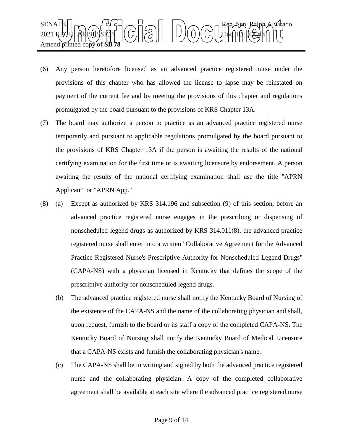

- (6) Any person heretofore licensed as an advanced practice registered nurse under the provisions of this chapter who has allowed the license to lapse may be reinstated on payment of the current fee and by meeting the provisions of this chapter and regulations promulgated by the board pursuant to the provisions of KRS Chapter 13A.
- (7) The board may authorize a person to practice as an advanced practice registered nurse temporarily and pursuant to applicable regulations promulgated by the board pursuant to the provisions of KRS Chapter 13A if the person is awaiting the results of the national certifying examination for the first time or is awaiting licensure by endorsement. A person awaiting the results of the national certifying examination shall use the title "APRN Applicant" or "APRN App."
- (8) (a) Except as authorized by KRS 314.196 and subsection (9) of this section, before an advanced practice registered nurse engages in the prescribing or dispensing of nonscheduled legend drugs as authorized by KRS 314.011(8), the advanced practice registered nurse shall enter into a written "Collaborative Agreement for the Advanced Practice Registered Nurse's Prescriptive Authority for Nonscheduled Legend Drugs" (CAPA-NS) with a physician licensed in Kentucky that defines the scope of the prescriptive authority for nonscheduled legend drugs.
	- (b) The advanced practice registered nurse shall notify the Kentucky Board of Nursing of the existence of the CAPA-NS and the name of the collaborating physician and shall, upon request, furnish to the board or its staff a copy of the completed CAPA-NS. The Kentucky Board of Nursing shall notify the Kentucky Board of Medical Licensure that a CAPA-NS exists and furnish the collaborating physician's name.
	- (c) The CAPA-NS shall be in writing and signed by both the advanced practice registered nurse and the collaborating physician. A copy of the completed collaborative agreement shall be available at each site where the advanced practice registered nurse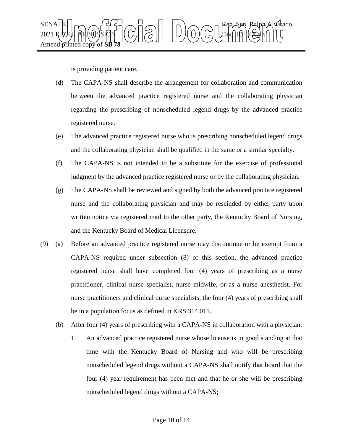

is providing patient care.

- (d) The CAPA-NS shall describe the arrangement for collaboration and communication between the advanced practice registered nurse and the collaborating physician regarding the prescribing of nonscheduled legend drugs by the advanced practice registered nurse.
- (e) The advanced practice registered nurse who is prescribing nonscheduled legend drugs and the collaborating physician shall be qualified in the same or a similar specialty.
- (f) The CAPA-NS is not intended to be a substitute for the exercise of professional judgment by the advanced practice registered nurse or by the collaborating physician.
- (g) The CAPA-NS shall be reviewed and signed by both the advanced practice registered nurse and the collaborating physician and may be rescinded by either party upon written notice via registered mail to the other party, the Kentucky Board of Nursing, and the Kentucky Board of Medical Licensure.
- (9) (a) Before an advanced practice registered nurse may discontinue or be exempt from a CAPA-NS required under subsection (8) of this section, the advanced practice registered nurse shall have completed four (4) years of prescribing as a nurse practitioner, clinical nurse specialist, nurse midwife, or as a nurse anesthetist. For nurse practitioners and clinical nurse specialists, the four (4) years of prescribing shall be in a population focus as defined in KRS 314.011.
	- (b) After four (4) years of prescribing with a CAPA-NS in collaboration with a physician:
		- 1. An advanced practice registered nurse whose license is in good standing at that time with the Kentucky Board of Nursing and who will be prescribing nonscheduled legend drugs without a CAPA-NS shall notify that board that the four (4) year requirement has been met and that he or she will be prescribing nonscheduled legend drugs without a CAPA-NS;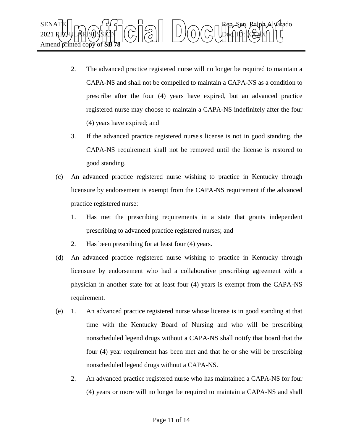

- 2. The advanced practice registered nurse will no longer be required to maintain a CAPA-NS and shall not be compelled to maintain a CAPA-NS as a condition to prescribe after the four (4) years have expired, but an advanced practice registered nurse may choose to maintain a CAPA-NS indefinitely after the four (4) years have expired; and
- 3. If the advanced practice registered nurse's license is not in good standing, the CAPA-NS requirement shall not be removed until the license is restored to good standing.
- (c) An advanced practice registered nurse wishing to practice in Kentucky through licensure by endorsement is exempt from the CAPA-NS requirement if the advanced practice registered nurse:
	- 1. Has met the prescribing requirements in a state that grants independent prescribing to advanced practice registered nurses; and
	- 2. Has been prescribing for at least four (4) years.
- (d) An advanced practice registered nurse wishing to practice in Kentucky through licensure by endorsement who had a collaborative prescribing agreement with a physician in another state for at least four (4) years is exempt from the CAPA-NS requirement.
- (e) 1. An advanced practice registered nurse whose license is in good standing at that time with the Kentucky Board of Nursing and who will be prescribing nonscheduled legend drugs without a CAPA-NS shall notify that board that the four (4) year requirement has been met and that he or she will be prescribing nonscheduled legend drugs without a CAPA-NS.
	- 2. An advanced practice registered nurse who has maintained a CAPA-NS for four (4) years or more will no longer be required to maintain a CAPA-NS and shall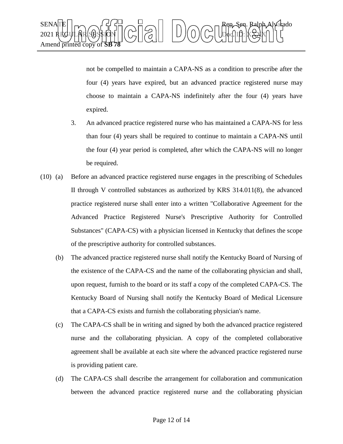

not be compelled to maintain a CAPA-NS as a condition to prescribe after the four (4) years have expired, but an advanced practice registered nurse may choose to maintain a CAPA-NS indefinitely after the four (4) years have expired.

- 3. An advanced practice registered nurse who has maintained a CAPA-NS for less than four (4) years shall be required to continue to maintain a CAPA-NS until the four (4) year period is completed, after which the CAPA-NS will no longer be required.
- (10) (a) Before an advanced practice registered nurse engages in the prescribing of Schedules II through V controlled substances as authorized by KRS 314.011(8), the advanced practice registered nurse shall enter into a written "Collaborative Agreement for the Advanced Practice Registered Nurse's Prescriptive Authority for Controlled Substances" (CAPA-CS) with a physician licensed in Kentucky that defines the scope of the prescriptive authority for controlled substances.
	- (b) The advanced practice registered nurse shall notify the Kentucky Board of Nursing of the existence of the CAPA-CS and the name of the collaborating physician and shall, upon request, furnish to the board or its staff a copy of the completed CAPA-CS. The Kentucky Board of Nursing shall notify the Kentucky Board of Medical Licensure that a CAPA-CS exists and furnish the collaborating physician's name.
	- (c) The CAPA-CS shall be in writing and signed by both the advanced practice registered nurse and the collaborating physician. A copy of the completed collaborative agreement shall be available at each site where the advanced practice registered nurse is providing patient care.
	- (d) The CAPA-CS shall describe the arrangement for collaboration and communication between the advanced practice registered nurse and the collaborating physician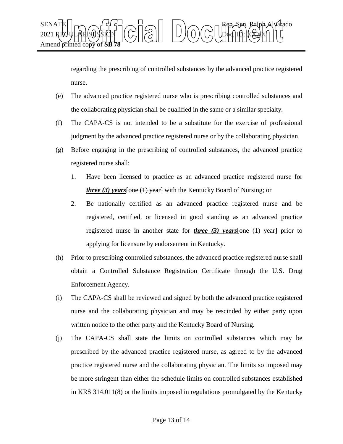

regarding the prescribing of controlled substances by the advanced practice registered nurse.

- (e) The advanced practice registered nurse who is prescribing controlled substances and the collaborating physician shall be qualified in the same or a similar specialty.
- (f) The CAPA-CS is not intended to be a substitute for the exercise of professional judgment by the advanced practice registered nurse or by the collaborating physician.
- (g) Before engaging in the prescribing of controlled substances, the advanced practice registered nurse shall:
	- 1. Have been licensed to practice as an advanced practice registered nurse for *three (3) years*[one (1) year] with the Kentucky Board of Nursing; or
	- 2. Be nationally certified as an advanced practice registered nurse and be registered, certified, or licensed in good standing as an advanced practice registered nurse in another state for *three (3) years*[one (1) year] prior to applying for licensure by endorsement in Kentucky.
- (h) Prior to prescribing controlled substances, the advanced practice registered nurse shall obtain a Controlled Substance Registration Certificate through the U.S. Drug Enforcement Agency.
- (i) The CAPA-CS shall be reviewed and signed by both the advanced practice registered nurse and the collaborating physician and may be rescinded by either party upon written notice to the other party and the Kentucky Board of Nursing.
- (j) The CAPA-CS shall state the limits on controlled substances which may be prescribed by the advanced practice registered nurse, as agreed to by the advanced practice registered nurse and the collaborating physician. The limits so imposed may be more stringent than either the schedule limits on controlled substances established in KRS 314.011(8) or the limits imposed in regulations promulgated by the Kentucky